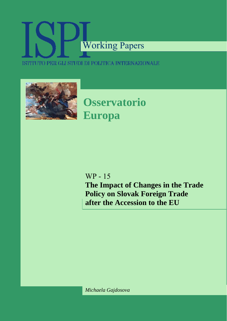# Working Papers ISTITUTO PER GLI STUDI DI POLITICA INTERNAZIONALE



**Osservatorio Europa** 

WP - 15

**The Impact of Changes in the Trade Policy on Slovak Foreign Trade after the Accession to the EU** 

*Michaela Gajdosova*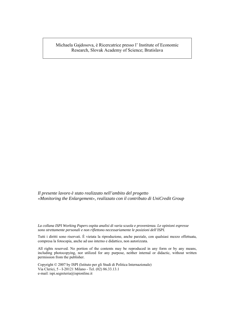Michaela Gajdosova, è Ricercatrice presso l' Institute of Economic Research, Slovak Academy of Science; Bratislava

*Il presente lavoro è stato realizzato nell'ambito del progetto «Monitoring the Enlargement», realizzato con il contributo di UniCredit Group* 

*La collana ISPI Working Papers ospita analisi di varia scuola e provenienza. Le opinioni espresse sono strettamente personali e non riflettono necessariamente le posizioni dell'ISPI.*

Tutti i diritti sono riservati. È vietata la riproduzione, anche parziale, con qualsiasi mezzo effettuata, compresa la fotocopia, anche ad uso interno e didattico, non autorizzata.

All rights reserved. No portion of the contents may be reproduced in any form or by any means, including photocopying, nor utilized for any purpose, neither internal or didactic, without written permission from the publisher.

Copyright © 2007 by ISPI (Istituto per gli Studi di Politica Internazionale) Via Clerici, 5 - I-20121 Milano - Tel. (02) 86.33.13.1 e-mail: ispi.segreteria@ispionline.it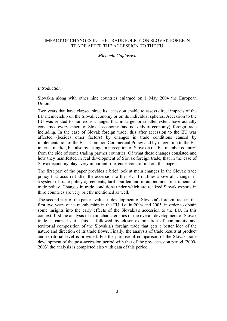# IMPACT OF CHANGES IN THE TRADE POLICY ON SLOVAK FOREIGN TRADE AFTER THE ACCESSION TO THE EU

# *Michaela Gajdosova*

## *Introduction*

Slovakia along with other nine countries enlarged on 1 May 2004 the European Union.

Two years that have elapsed since its accession enable to assess direct impacts of the EU membership on the Slovak economy or on its individual spheres. Accession to the EU was related to numerous changes that in larger or smaller extent have actually concerned every sphere of Slovak economy (and not only of economy), foreign trade including. In the case of Slovak foreign trade, this after accession to the EU was affected (besides other factors) by changes in trade conditions caused by implementation of the EU's Common Commercial Policy and by integration to the EU internal market, but also by change in perception of Slovakia (as EU member country) from the side of some trading partner countries. Of what these changes consisted and how they manifested in real development of Slovak foreign trade, that in the case of Slovak economy plays very important role, endeavors to find out this paper.

The first part of the paper provides a brief look at main changes in the Slovak trade policy that occurred after the accession to the EU. It outlines above all changes in a system of trade-policy agreements, tariff burden and in autonomous instruments of trade policy. Changes in trade conditions under which are realized Slovak exports in third countries are very briefly mentioned as well.

The second part of the paper evaluates development of Slovakia's foreign trade in the first two years of its membership in the EU, i.e. in 2004 and 2005, in order to obtain some insights into the early effects of the Slovakia's accession to the EU. In this context, first the analysis of main characteristics of the overall development of Slovak trade is carried out. This is followed by closer examination of commodity and territorial composition of the Slovakia's foreign trade that gets a better idea of the nature and direction of its trade flows. Finally, the analysis of trade results at product and territorial level is provided. For the purpose of comparison of the Slovak trade development of the post-accession period with that of the pre-accession period (2000- 2003) the analysis is completed also with data of this period.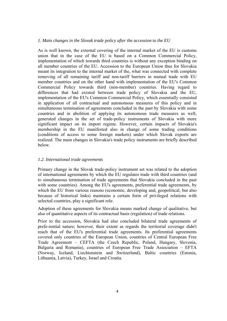# *1. Main changes in the Slovak trade policy after the accession to the EU*

As is well known, the external covering of the internal market of the EU is customs union that in the case of the EU is based on a Common Commercial Policy, implementation of which towards third countries is without any exception binding on all member countries of the EU. Accession to the European Union thus for Slovakia meant its integration to the internal market of the, what was connected with complete removing of all remaining tariff and non-tariff barriers in mutual trade with EU member countries and on the other hand with implementation of the EU's Common Commercial Policy towards third (non-member) countries. Having regard to differences that had existed between trade policy of Slovakia and the EU, implementation of the EU's Common Commercial Policy, which essentially consisted in application of all contractual and autonomous measures of this policy and in simultaneous termination of agreements concluded in the past by Slovakia with some countries and in abolition of applying its autonomous trade measures as well, generated changes in the set of trade-policy instruments of Slovakia with more significant impact on its import regime. However, certain impacts of Slovakia's membership in the EU manifested also in change of some trading conditions (conditions of access to some foreign markets) under which Slovak exports are realized. The main changes in Slovakia's trade policy instruments are briefly described below.

# *1.2. International trade agreements*

Primary change in the Slovak trade-policy instrument set was related to the adoption of international agreements by which the EU regulates trade with third countries (and to simultaneous termination of trade agreements that Slovakia concluded in the past with some countries). Among the EU's agreements, preferential trade agreements, by which the EU from various reasons (economic, developing and, geopolitical, but also because of historical links) maintains a certain form of privileged relations with selected countries, play a significant role.

Adoption of these agreements for Slovakia means marked change of qualitative, but also of quantitative aspects of its contractual basis (regulation) of trade relations.

Prior to the accession, Slovakia had also concluded bilateral trade agreements of prefe-rential nature; however, their extent as regards the territorial coverage didn't reach that of the EU's preferential trade agreements. Its preferential agreements covered only countries of the European Union, countries of Central European Free Trade Agreement – CEFTA (the Czech Republic, Poland, Hungary, Slovenia, Bulgaria and Romania), countries of European Free Trade Association – EFTA (Norway, Iceland, Liechtenstein and Switzerland), Baltic countries (Estonia, Lithuania, Latvia), Turkey, Israel and Croatia.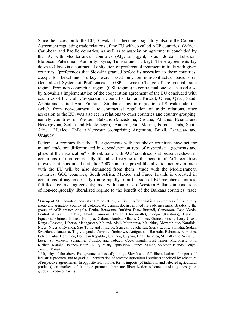Since the accession to the EU, Slovakia has become a signatory also to the Cotonou Agreement regulating trade relations of the EU with so called ACP countries<sup>[1](#page-4-0)</sup> (Africa, Caribbean and Pacific countries) as well as to association agreements concluded by the EU with Mediterranean countries (Algeria, Egypt, Israel, Jordan, Lebanon, Morocco, Palestinian Authority, Syria, Tunisia and Turkey). These agreements lay down to Slovakia a contractual obligation of preferential treatment in trade with given countries. (preferences that Slovakia granted before its accession to these countries, except for Israel and Turkey, were based only on non-contractual basis - on Generalized System of Preferences - GSP scheme). Change of preferential trade regime, from non-contractual regime (GSP regime) to contractual one was caused also by Slovakia's implementation of the cooperation agreement of the EU concluded with countries of the Gulf Co-operation Council - Bahrain, Kuwait, Oman, Qatar, Saudi Arabia and United Arab Emirates. Similar change in regulation of Slovak trade, i.e. switch from non-contractual to contractual regulation of trade relations, after accession to the EU, was also set in relations to other countries and country grouping, namely countries of Western Balkans (Macedonia, Croatia, Albania, Bosnia and Herzegovina, Serbia and Monte-negro), Andorra, San Marino, Faroe Islands, South Africa, Mexico, Chile a Mercosur (comprising Argentina, Brazil, Paraguay and Uruguay).

Patterns or regimes that the EU agreements with the above countries have set for mutual trade are differentiated in dependence on type of respective agreements and phase of their realization<sup>[2](#page-4-1)</sup> - Slovak trade with ACP countries is at present realized in conditions of non-reciprocally liberalized regime to the benefit of ACP countries (however, it is assumed that after 2007 some reciprocal liberalization actions in trade with the EU will be also demanded from them); trade with the Mediterranean countries, GCC countries, South Africa, Mexico and Faroe Islands is operated in conditions of asymmetrically (more rapidly from the side of EU member countries) fulfilled free trade agreements; trade with countries of Western Balkans in conditions of non-reciprocally liberalized regime to the benefit of the Balkans countries; trade

 $\overline{a}$ 

<span id="page-4-0"></span> $1$  Group of ACP countries consists of 78 countries, but South Africa that is also member of this country group and signatory country of Cotonou Agreement doesn't applied its trade measures. Besides it, the group of ACP create: [Angola](http://ec.europa.eu/comm/development/body/country/country_home_en.cfm?cid=ao&status=new)**,** [Benin](http://ec.europa.eu/comm/development/body/country/country_home_fr.cfm?cid=bj&status=)**,** [Botswana](http://ec.europa.eu/comm/development/body/country/country_home_en.cfm?cid=bw&status=new)**,** [Burkina Faso](http://ec.europa.eu/comm/development/body/country/country_home_en.cfm?cid=bf&status=new)**,** [Burundi](http://ec.europa.eu/comm/development/body/country/country_home_en.cfm?cid=bi&status=new)**,** [Cameroon](http://ec.europa.eu/comm/development/body/country/country_home_en.cfm?cid=cm&status=new)**,** [Cape Verde](http://ec.europa.eu/comm/development/body/country/country_home_en.cfm?cid=cv&status=new), Central African Republic, [Chad](http://ec.europa.eu/comm/development/body/country/country_home_en.cfm?cid=td&status=new)**,** [Comoros](http://ec.europa.eu/comm/development/body/country/country_home_en.cfm?cid=km&status=new)**,** [Congo \(Brazzaville\)](http://ec.europa.eu/comm/development/body/country/country_home_en.cfm?cid=cg&status=new)**,** [Congo \(Kinshasa\)](http://ec.europa.eu/comm/development/body/country/country_home_fr.cfm?cid=cd&status=new)**,** [Djibouti](http://ec.europa.eu/comm/development/body/country/country_home_en.cfm?cid=dj&status=new)**,**  [Equatorial Guinea](http://ec.europa.eu/comm/development/body/country/country_home_fr.cfm?cid=gq&status=)**,** [Eritrea](http://ec.europa.eu/comm/development/body/country/country_home_en.cfm?cid=er&status=new)**,** [Ethiopia](http://ec.europa.eu/comm/development/body/country/country_home_en.cfm?cid=et&status=new)**,** [Gabon](http://ec.europa.eu/comm/development/body/country/country_home_fr.cfm?cid=ga&status=)**,** [Gambia](http://ec.europa.eu/comm/development/body/country/country_home_en.cfm?cid=gm&status=new)**,** [Ghana](http://ec.europa.eu/comm/development/body/country/country_home_en.cfm?cid=gh&status=new)**,** [Guinea](http://ec.europa.eu/comm/development/body/country/country_home_fr.cfm?cid=gn&status=)**,** [Guinea Bissau](http://ec.europa.eu/comm/development/body/country/country_home_en.cfm?cid=gw&status=new)**,** [Ivory Coast](http://ec.europa.eu/comm/development/body/country/country_home_en.cfm?cid=ci&status=new)**,**  [Kenya](http://ec.europa.eu/comm/development/body/country/country_home_en.cfm?cid=ke&status=new)**,** [Lesotho](http://ec.europa.eu/comm/development/body/country/country_home_en.cfm?cid=ls&status=new)**,** [Liberia](http://ec.europa.eu/comm/development/body/country/country_home_en.cfm?cid=lr&status=new)**,** [Madagascar](http://ec.europa.eu/comm/development/body/country/country_home_en.cfm?cid=mg&status=new)**,** [Malawi](http://ec.europa.eu/comm/development/body/country/country_home_en.cfm?cid=mw&status=new)**,** [Mali](http://ec.europa.eu/comm/development/body/country/country_home_fr.cfm?cid=ml&status=new)**,** [Mauritania](http://ec.europa.eu/comm/development/body/country/country_home_en.cfm?cid=mr&status=new)**,** [Mauritius](http://ec.europa.eu/comm/development/body/country/country_home_en.cfm?cid=mu&status=new)**,** [Mozambique](http://ec.europa.eu/comm/development/body/country/country_home_en.cfm?cid=mz&status=new)**,** [Namibia](http://ec.europa.eu/comm/development/body/country/country_home_en.cfm?cid=na&status=new)**,**  [Niger](http://ec.europa.eu/comm/development/body/country/country_home_en.cfm?cid=ne&status=new)**,** [Nigeria](http://ec.europa.eu/comm/development/body/country/country_home_en.cfm?cid=ng&status=new)**,** [Rwanda](http://ec.europa.eu/comm/development/body/country/country_home_en.cfm?cid=rw&status=new)**,** [Sao Tome and Principe](http://ec.europa.eu/comm/development/body/country/country_home_fr.cfm?cid=st&status=)**,** [Senegal](http://ec.europa.eu/comm/development/body/country/country_home_en.cfm?cid=sn&status=new)**,** [Seychelles](http://ec.europa.eu/comm/development/body/country/country_home_en.cfm?cid=sc&status=new)**,** [Sierra Leone](http://ec.europa.eu/comm/development/body/country/country_home_en.cfm?cid=sl&status=new)**,** [Somalia](http://ec.europa.eu/comm/development/body/country/country_home_en.cfm?cid=so&status=new)**,** [Sudan](http://ec.europa.eu/comm/development/body/country/country_home_en.cfm?cid=sd&status=new)**,**  [Swaziland](http://ec.europa.eu/comm/development/body/country/country_home_en.cfm?cid=sz&status=new)**,** [Tanzania](http://ec.europa.eu/comm/development/body/country/country_home_en.cfm?cid=tz&status=new)**,** [Togo](http://ec.europa.eu/comm/development/body/country/country_home_fr.cfm?cid=tg&status=)**,** [Uganda](http://ec.europa.eu/comm/development/body/country/country_home_en.cfm?cid=ug&status=new)**,** [Zambia](http://ec.europa.eu/comm/development/body/country/country_home_en.cfm?cid=zm&status=new)**,** [Zimbabwe](http://ec.europa.eu/comm/development/body/country/country_home_en.cfm?cid=zw&status=new)**,** [Antigua and Barbuda](http://ec.europa.eu/comm/development/body/country/country_home_en.cfm?cid=ag&status=new)**,** [Bahamas](http://ec.europa.eu/comm/development/body/country/country_home_en.cfm?cid=bs&status=new)**,** [Barbados](http://ec.europa.eu/comm/development/body/country/country_home_en.cfm?cid=bb&status=new)**,**  [Belize](http://ec.europa.eu/comm/development/body/country/country_home_en.cfm?cid=bz&status=new)**,** [Cuba](http://ec.europa.eu/comm/development/body/country/country_home_en.cfm?cid=cu&status=new)**,** [Dominica](http://ec.europa.eu/comm/development/body/country/country_home_en.cfm?cid=dm&status=new)**,** [Domican Republic](http://ec.europa.eu/comm/development/body/country/country_home_en.cfm?cid=do&status=new)**,** [Grenada](http://ec.europa.eu/comm/development/body/country/country_home_en.cfm?cid=gd&status=new)**,** [Guyana](http://ec.europa.eu/comm/development/body/country/country_home_en.cfm?cid=gy&status=new)**,** [Haiti](http://ec.europa.eu/comm/development/body/country/country_home_en.cfm?cid=ht&status=new)**,** [Jamaica](http://ec.europa.eu/comm/development/body/country/country_home_en.cfm?cid=jm&status=new)**,** [St. Kitts and Nevis](http://ec.europa.eu/comm/development/body/country/country_home_en.cfm?cid=kn&status=new)**,** [St.](http://ec.europa.eu/comm/development/body/country/country_home_en.cfm?cid=lc&status=new)  [Lucia](http://ec.europa.eu/comm/development/body/country/country_home_en.cfm?cid=lc&status=new)**,** [St. Vincent](http://ec.europa.eu/comm/development/body/country/country_home_en.cfm?cid=vc&status=new)**,** [Suriname](http://ec.europa.eu/comm/development/body/country/country_home_en.cfm?cid=sr&status=new)**,** [Trinidad and Tobago](http://ec.europa.eu/comm/development/body/country/country_home_en.cfm?cid=tt&status=new)**,** [Cook Islands](http://ec.europa.eu/comm/development/body/country/country_home_en.cfm?cid=ck&status=new)**,** [East Timor](http://ec.europa.eu/comm/development/body/country/country_home_en.cfm?cid=tp&status=new)**,** [Micronesia](http://ec.europa.eu/comm/development/body/country/country_home_en.cfm?cid=fm&status=new)**,** [Fiji](http://ec.europa.eu/comm/development/body/country/country_home_en.cfm?cid=fj&status=new)**,**  [Kiribati](http://ec.europa.eu/comm/development/body/country/country_home_en.cfm?cid=ki&status=new)**,** [Marshall Islands](http://ec.europa.eu/comm/development/body/country/country_home_en.cfm?cid=mh&status=new)**,** [Nauru](http://ec.europa.eu/comm/development/body/country/country_home_en.cfm?cid=nr&status=new)**,** [Niue](http://ec.europa.eu/comm/development/body/country/country_home_en.cfm?cid=nu&status=new)**,** [Palau](http://ec.europa.eu/comm/development/body/country/country_home_en.cfm?cid=pw&status=new)**,** [Papua New Guinea](http://ec.europa.eu/comm/development/body/country/country_home_en.cfm?cid=pg&status=new)**,** [Samoa](http://ec.europa.eu/comm/development/body/country/country_home_en.cfm?cid=ws&status=new)**,** [Solomon Islands](http://ec.europa.eu/comm/development/body/country/country_home_en.cfm?cid=sb&status=new)**,** [Tonga](http://ec.europa.eu/comm/development/body/country/country_home_en.cfm?cid=to&status=new)**,**  [Tuvalu](http://ec.europa.eu/comm/development/body/country/country_home_en.cfm?cid=tv&status=new)**,** [Vanuatu](http://ec.europa.eu/comm/development/body/country/country_home_en.cfm?cid=vu&status=new)**.** <sup>2</sup>

<span id="page-4-1"></span><sup>&</sup>lt;sup>2</sup> Majority of the above Eu agreements basically oblige Slovakia to full liberalization of imports of industrial products and to gradual liberalization of selected agricultural products specified by schedules of respective agreements. In opposite relation, i.e. for its imports (of industrial and selected agricultural products) on markets of its trade partners, there are liberalization scheme consisting mostly on gradually reduced tariffs.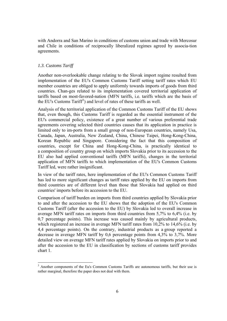with Andorra and San Marino in conditions of customs union and trade with Mercosur and Chile in conditions of reciprocally liberalized regimes agreed by associa-tion agreements.

# *1.3. Customs Tariff*

 $\overline{a}$ 

Another non-overlookable change relating to the Slovak import regime resulted from implementation of the EU's Common Customs Tariff setting tariff rates which EU member countries are obliged to apply uniformly towards imports of goods from third countries. Chan-ges related to its implementation covered territorial application of tariffs based on most-favored-nation (MFN tariffs, i.e. tariffs which are the basis of the EU's Customs Tariff<sup>[3](#page-5-0)</sup>) and level of rates of these tariffs as well.

Analysis of the territorial application of the Common Customs Tariff of the EU shows that, even though, this Customs Tariff is regarded as the essential instrument of the EU's commercial policy, existence of a great number of various preferential trade agreements covering selected third countries causes that its application in practice is limited only to im-ports from a small group of non-European countries, namely Usa, Canada, Japan, Australia, New Zealand, China, Chinese Taipei, Hong-Kong-China, Korean Republic and Singapore. Considering the fact that this composition of countries, except for China and Hong-Kong-China, is practically identical to a composition of country group on which imports Slovakia prior to its accession to the EU also had applied conventional tariffs (MFN tariffs), changes in the territorial application of MFN tariffs to which implementation of the EU's Common Customs Tariff led, were rather insignificant.

In view of the tariff rates, here implementation of the EU's Common Customs Tariff has led to more significant changes as tariff rates applied by the EU on imports from third countries are of different level than those that Slovakia had applied on third countries' imports before its accession to the EU.

Comparison of tariff burden on imports from third countries applied by Slovakia prior to and after the accession to the EU shows that the adoption of the EU's Common Customs Tariff (after the accession to the EU) by Slovakia led to overall increase in average MFN tariff rates on imports from third countries from 5,7% to 6,4% (i.e. by 0,7 percentage points). This increase was caused mainly by agricultural products, which registered an increase in average MFN tariff rates from 10,2% to 14,6% (i.e. by 4,4 percentage points). On the contrary, industrial products as a group reported a decrease in average MFN tariff by 0,6 percentage points from 4,3% to 3,7%. More detailed view on average MFN tariff rates applied by Slovakia on imports prior to and after the accession to the EU in classification by sections of customs tariff provides chart 1.

<span id="page-5-0"></span><sup>&</sup>lt;sup>3</sup> Another components of the Eu's Common Customs Tariffs are autonomous tariffs, but their use is rather marginal, therefore the paper does not deal with them.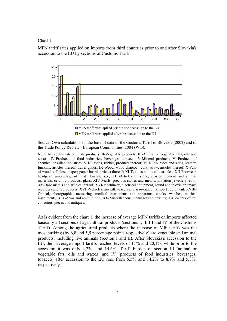#### Chart 1

MFN tariff rates applied on imports from third countries prior to and after Slovakia's accession to the EU by sections of Customs Tariff



Source: Own calculations on the base of data of the Customs Tariff of Slovakia (2002) and of the Trade Policy Review - European Communities, 2004 (Wto).

Note: I-Live animals, animals products; II-Vegetable products; III-Animal or vegetable fats, oils and waxes; IV-Products of food industries, beverages, tobacco; V-Mineral products; VI-Products of chemical or allied industries; VII-Plastics, rubber, products thereof; VIII-Raw hides and skins, leather, furskins, articles thereof, travel goods; IX-Wood, wood charcoal, cork, straw, articles thereof; X-Pulp of wood, cellulose, paper; paper-board, articles thereof; XI-Textiles and textile articles; XII-Footwear, headgear, umbrellas, artificial flowers, a.o.; XIII-Articles of stone, plaster, cement and similar materials, ceramic products, glass; XIV-Pearls, precious stones and metals, imitation jewellery, coin; XV-Base metals and articles thereof; XVI-Machinery, electrical equipment, sound and television image recorders and reproducers, XVII-Vehicles, aircraft, vessels and asso-ciated transport equipment; XVIII-Optical, photographic, measuring, medical instruments and apparatus, clocks, watches, musical instruments; XIX-Arms and ammunition; XX-Miscellaneous manufactured articles; XXI-Works of art, collectors' pieces and antiques.

As is evident from the chart 1, the increase of average MFN tariffs on imports affected basically all sections of agricultural products (sections I, II, III and IV of the Customs Tariff). Among the agricultural products where the increase of Mfn tariffs was the most striking (by 6,8 and 5,5 percentage points respectively) are vegetable and animal products, including live animals (section I and II). After Slovakia's accession to the EU, their average import tariffs reached levels of 11% and 20,1%, while prior to the accession it was only 4,2%, and 14,6%. Tariff burden of section III (animal or vegetable fats, oils and waxes) and IV (products of food industries, beverages, tobacco) after accession to the EU rose from 6,5% and 14,2% to 8,9% and 5,8%, respectively.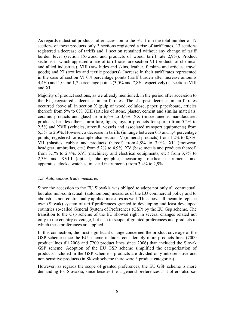As regards industrial products, after accession to the EU, from the total number of 17 sections of these products only 3 sections registered a rise of tariff rates, 13 sections registered a decrease of tariffs and 1 section remained without any change of tariff burden level (section IX-wood and products of wood, tariff rate 2,9%). Product sections in which appeared a rise of tariff rates are section VI (products of chemical and allied industries), VIII (raw hides and skins, leather, furskins and articles, travel goods) and XI (textiles and textile products). Increase in their tariff rates represented in the case of section VI 0,4 percentage points (tariff burden after increase amounts 4,4%) and 1,0 and 1,7 percentage points (3,0% and 7,8% respectively) in sections VIII and XI.

Majority of product sections, as we already mentioned, in the period after accession to the EU, registered a decrease in tariff rates. The sharpest decrease in tariff rates occurred above all in section X (pulp of wood, cellulose, paper, paperboard, articles thereof) from 5% to 0%, XIII (articles of stone, plaster, cement and similar materials, ceramic products and glass) from 6,6% to 3,6%, XX (miscellaneous manufactured products, besides others, furni-ture, lights, toys or products for sports) from 5,2% to 2,5% and XVII (vehicles, aircraft, vessels and associated transport equipments) from 5,5% to 2,9%. However, a decrease in tariffs (in range between 0,3 and 1,4 percentage points) registered for example also sections V (mineral products) from 1,2% to 0,8%, VII (plastics, rubber and products thereof) from 4,8% to 3,9%, XII (footwear, headgear, umbrellas, etc.) from 5,2% to 4,9%, XV (base metals and products thereof) from 3,1% to 2,4%, XVI (machinery and electrical equipments, etc.) from 3,7% to 2,3% and XVIII (optical, photographic, measuring, medical instruments and apparatus, clocks, watches; musical instruments) from 3,4% to 2,9%.

#### *1.3. Autonomous trade measures*

Since the accession to the EU Slovakia was obliged to adopt not only all contractual, but also non-contractual (autonomous) measures of the EU commercial policy and to abolish its non-contractually applied measures as well. This above all meant to replace own (Slovak) system of tariff preferences granted to developing and least developed countries so-called General System of Preferences (GSP) by the EU Gsp scheme. The transition to the Gsp scheme of the EU showed right in several changes related not only to the country coverage, but also to scope of granted preferences and products to which these preferences are applied.

In this connection, the most significant change concerned the product coverage of the GSP scheme since the EU scheme includes considerably more products lines (7000 product lines till 2006 and 7200 product lines since 2006) than included the Slovak GSP scheme. Adoption of the EU GSP scheme simplified the categorization of products included in the GSP scheme – products are divided only into sensitive and non-sensitive products (in Slovak scheme there were 3 product categories).

However, as regards the scope of granted preferences, the EU GSP scheme is more demanding for Slovakia, since besides the « general preferences » it offers also so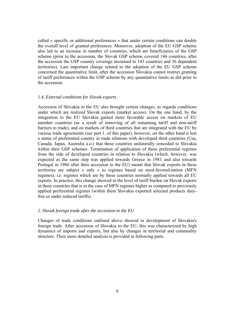called « specific or additional preferences » that under certain conditions can double the overall level of granted preferences. Moreover, adoption of the EU GSP scheme also led to an increase in number of countries, which are beneficiaries of the GSP scheme (prior to the accession, the Slovak GSP scheme covered 146 countries, after the accession the GSP country coverage increased to 143 countries and 36 dependent territories). Last important change related to the adoption of the EU GSP scheme concerned the quantitative limit, after the accession Slovakia cannot restrict granting of tariff preferences within the GSP scheme by any quantitative limits as did prior to the accession.

#### *1.4. External conditions for Slovak exports*

Accession of Slovakia to the EU also brought certain changes, as regards conditions under which are realized Slovak exports (market access). On the one hand, by the integration to the EU Slovakia gained more favorable access on markets of EU member countries (as a result of removing of all remaining tariff and non-tariff barriers to trade), and on markets of third countries that are integrated with the EU by various trade agreements (see part 1. of this paper), however, on the other hand it lost a status of preferential country in trade relations with developed third countries (Usa, Canada, Japan, Australia a.o.) that these countries unilaterally conceded to Slovakia within their GSP schemes. Termination of application of these preferential regimes from the side of developed countries in relation to Slovakia (which, however, was expected as the same step was applied towards Greece in 1981 and also towards Portugal in 1986 after their accession to the EU) meant that Slovak exports in these territories are subject « only » to regimes based on most-favored-nation (MFN regimes), i.e. regimes which are by these countries normally applied towards all EU exports. In practice, this change showed in the level of tariff burden on Slovak exports in these countries that is in the case of MFN regimes higher as compared to previously applied preferential regimes (within them Slovakia exported selected products dutyfree or under reduced tariffs).

#### *2. Slovak foreign trade after the accession to the EU*

Changes of trade conditions outlined above showed in development of Slovakia's foreign trade. After accession of Slovakia to the EU, this was characterized by high dynamics of imports and exports, but also by changes in territorial and commodity structure. Their more detailed analysis is provided in following parts.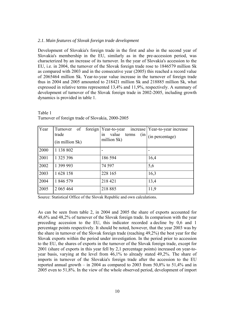## *2.1. Main features of Slovak foreign trade development*

Development of Slovakia's foreign trade in the first and also in the second year of Slovakia's membership in the EU, similarly as in the pre-accession period, was characterized by an increase of its turnover. In the year of Slovakia's accession to the EU, i.e. in 2004, the turnover of the Slovak foreign trade rose to 1846579 million Sk as compared with 2003 and in the consecutive year (2005) this reached a record value of 2065464 million Sk. Year-to-year value increase in the turnover of foreign trade thus in 2004 and 2005 amounted to 218421 million Sk and 218885 million Sk, what expressed in relative terms represented 13,4% and 11,9%, respectively. A summary of development of turnover of the Slovak foreign trade in 2002-2005, including growth dynamics is provided in table 1.

| <b>Year</b> | Turnover of<br>trade<br>(in million Sk) | foreign   Year-to-year<br>increase<br>value<br>terms<br>(in)<br>1n<br>million Sk) | Year-to-year increase<br>(in percentage) |
|-------------|-----------------------------------------|-----------------------------------------------------------------------------------|------------------------------------------|
| 2000        | 1 138 802                               |                                                                                   |                                          |
| 2001        | 1 3 2 5 3 9 6                           | 186 594                                                                           | 16,4                                     |
| 2002        | 1 399 993                               | 74 5 97                                                                           | 5,6                                      |
| 2003        | 1628 158                                | 228 165                                                                           | 16,3                                     |
| 2004        | 1 846 579                               | 218 421                                                                           | 13,4                                     |
| 2005        | 2 065 464                               | 218 885                                                                           | 11,9                                     |

Turnover of foreign trade of Slovakia, 2000-2005

Table 1

Source: Statistical Office of the Slovak Republic and own calculations.

As can be seen from table 2, in 2004 and 2005 the share of exports accounted for 48,6% and 48,2% of turnover of the Slovak foreign trade. In comparison with the year preceding accession to the EU, this indicator recorded a decline by 0,6 and 1 percentage points respectively. It should be noted, however, that the year 2003 was by the share in turnover of the Slovak foreign trade (reaching 49,2%) the best year for the Slovak exports within the period under investigation. In the period prior to accession to the EU, the shares of exports in the turnover of the Slovak foreign trade, except for 2001 (share of exports in this year fell by 2,1 percentage points) increased on year-toyear basis, varying at the level from 46,1% to already stated 49,2%. The share of imports in turnover of the Slovakia's foreign trade after the accession to the EU reported annual growth – in 2004 as compared to 2003 from 50,8% to 51,4% and in 2005 even to 51,8%. In the view of the whole observed period, development of import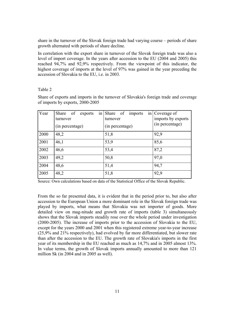share in the turnover of the Slovak foreign trade had varying course – periods of share growth alternated with periods of share decline.

In correlation with the export share in turnover of the Slovak foreign trade was also a level of import coverage. In the years after accession to the EU (2004 and 2005) this reached 94,7% and 92,9% respectively. From the viewpoint of this indicator, the highest coverage of imports at the level of 97% was gained in the year preceding the accession of Slovakia to the EU, i.e. in 2003.

# Table 2

Share of exports and imports in the turnover of Slovakia's foreign trade and coverage of imports by exports, 2000-2005

| <b>Year</b> | Share of<br>exports<br>1n<br>turnover | Share of<br>imports<br>turnover | in Coverage of<br>imports by exports<br>(in percentage) |
|-------------|---------------------------------------|---------------------------------|---------------------------------------------------------|
|             | (in percentage)                       | (in percentage)                 |                                                         |
| 2000        | 48,2                                  | 51,8                            | 92,9                                                    |
| 2001        | 46,1                                  | 53,9                            | 85,6                                                    |
| 2002        | 46,6                                  | 53,4                            | 87,2                                                    |
| 2003        | 49,2                                  | 50,8                            | 97,0                                                    |
| 2004        | 48,6                                  | 51,4                            | 94,7                                                    |
| 2005        | 48,2                                  | 51,8                            | 92,9                                                    |

Source: Own calculations based on data of the Statistical Office of the Slovak Republic.

From the so far presented data, it is evident that in the period prior to, but also after accession to the European Union a more dominant role in the Slovak foreign trade was played by imports, what means that Slovakia was net importer of goods. More detailed view on mag-nitude and growth rate of imports (table 3) simultaneously shows that the Slovak imports steadily rose over the whole period under investigation (2000-2005). The increase of imports prior to the accession of Slovakia to the EU, except for the years 2000 and 2001 when this registered extreme year-to-year increase (25,9% and 21% respectively), had evolved by far more differentiated, but slower rate than after the accession to the EU. The growth rate of Slovakia's imports in the first year of its membership in the EU reached as much as 14,7% and in 2005 almost 13%. In value terms, the growth of Slovak imports annually amounted to more than 121 million Sk (in 2004 and in 2005 as well).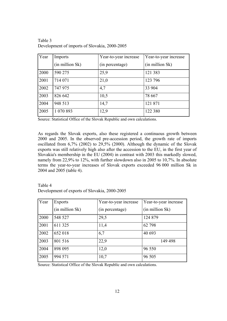Table 3 Development of imports of Slovakia, 2000-2005

| Year | Imports         | Year-to-year increase | Year-to-year increase |
|------|-----------------|-----------------------|-----------------------|
|      | (in million Sk) | (in percentage)       | (in million Sk)       |
| 2000 | 590 275         | 25,9                  | 121 383               |
| 2001 | 714 071         | 21,0                  | 123 796               |
| 2002 | 747 975         | 4,7                   | 33 904                |
| 2003 | 826 642         | 10,5                  | 78 667                |
| 2004 | 948 513         | 14,7                  | 121 871               |
| 2005 | 1 070 893       | 12,9                  | 122 380               |

Source: Statistical Office of the Slovak Republic and own calculations.

As regards the Slovak exports, also these registered a continuous growth between 2000 and 2005. In the observed pre-accession period, the growth rate of imports oscillated from 6,7% (2002) to 29,5% (2000). Although the dynamic of the Slovak exports was still relatively high also after the accession to the EU, in the first year of Slovakia's membership in the EU (2004) in contrast with 2003 this markedly slowed, namely from 22,9% to 12%, with further slowdown also in 2005 to 10,7%. In absolute terms the year-to-year increases of Slovak exports exceeded 96 000 million Sk in 2004 and 2005 (table 4).

# Table 4 Development of exports of Slovakia, 2000-2005

| <b>Year</b> | <b>Exports</b>  | Year-to-year increase | Year-to-year increase |
|-------------|-----------------|-----------------------|-----------------------|
|             | (in million Sk) | (in percentage)       | (in million Sk)       |
| 2000        | 548 527         | 29,5                  | 124 879               |
| 2001        | 611 325         | 11,4                  | 62 798                |
| 2002        | 652 018         | 6,7                   | 40 693                |
| 2003        | 801 516         | 22,9                  | 149 498               |
| 2004        | 898 095         | 12,0                  | 96 550                |
| 2005        | 994 571         | 10,7                  | 96 505                |

Source: Statistical Office of the Slovak Republic and own calculations.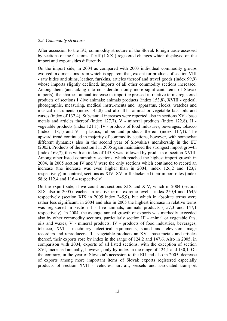#### *2.2. Commodity structure*

After accession to the EU, commodity structure of the Slovak foreign trade assessed by sections of the Customs Tariff (I-XXI) registered changes which displayed on the import and export sides differently.

On the import side, in 2004 as compared with 2003 individual commodity groups evolved in dimensions from which is apparent that, except for products of section VIII - raw hides and skins, leather, furskins, articles thereof and travel goods (index 99,9) whose imports slightly declined, imports of all other commodity sections increased. Among them (and taking into consideration only more significant items of Slovak imports), the sharpest annual increase in import expressed in relative terms registered products of sections I -live animals; animals products (index 153,8), XVIII - optical, photographic, measuring, medical instru-ments and apparatus, clocks, watches and musical instruments (index 145,8) and also III - animal or vegetable fats, oils and waxes (index of 132,4). Substantial increases were reported also in sections XV - base metals and articles thereof (index 127,7), V - mineral products (index 122,8), II vegetable products (index 121,1), IV - products of food industries, beverages, tobacco (index 118,1) and VI - plastics, rubber and products thereof (index 117,1). The upward trend continued in majority of commodity sections, however, with somewhat different dynamics also in the second year of Slovakia's membership in the EU (2005). Products of the section I in 2005 again maintained the strongest import growth (index 169,7), this with an index of 145,8 was followed by products of section XVIII. Among other listed commodity sections, which reached the highest import growth in 2004, in 2005 section IV and V were the only sections which continued to record an increase (the increase was even higher than in 2004; index 126,2 and 123,7 respectively) in contrast, sections as XIV, XV or II slackened their import rates (index 58,6; 112,4 and 116,4 respectively).

On the export side, if we count out sections XIX and XIV, which in 2004 (section XIX also in 2005) reached in relative terms extreme level – index 250,4 and 164,9 respectively (section XIX in 2005 index 245,9), but which in absolute terms were rather less significant, in 2004 and also in 2005 the highest increase in relative terms was registered in section I - live animals; animals products (157,3 and 147,1) respectively). In 2004, the average annual growth of exports was markedly exceeded also by other commodity sections, particularly section III - animal or vegetable fats, oils and waxes, V - mineral products, IV - products of food industries, beverages, tobacco, XVI - machinery, electrical equipments, sound and television image recorders and reproducers, II - vegetable products an XV - base metals and articles thereof, their exports rose by index in the range of 124,2 and 147,6. Also in 2005, in comparison with 2004, exports of all listed sections, with the exception of section XVI, increased annually, however, only by index in the range of 124,1 and 130,1. On the contrary, in the year of Slovakia's accession to the EU and also in 2005, decrease of exports among more important items of Slovak exports registered especially products of section XVII - vehicles, aircraft, vessels and associated transport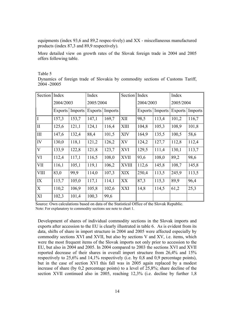equipments (index 93,6 and 89,2 respec-tively) and XX - miscellaneous manufactured products (index 87,3 and 89,9 respectively).

More detailed view on growth rates of the Slovak foreign trade in 2004 and 2005 offers following table.

#### Table 5

Dynamics of foreign trade of Slovakia by commodity sections of Customs Tariff, 2004 -20005

| <b>Section</b> | Index     |         | Index          |         | Section Index |                |         | Index          |         |
|----------------|-----------|---------|----------------|---------|---------------|----------------|---------|----------------|---------|
|                | 2004/2003 |         | 2005/2004      |         |               | 2004/2003      |         | 2005/2004      |         |
|                | Exports   | Imports | <b>Exports</b> | Imports |               | <b>Exports</b> | Imports | <b>Exports</b> | Imports |
| $\overline{I}$ | 157,3     | 153,7   | 147,1          | 169,7   | XII           | 98,5           | 113,4   | 101,2          | 116,7   |
| $\prod$        | 125,6     | 121,1   | 124,1          | 116,4   | <b>XIII</b>   | 104,8          | 105,3   | 108,9          | 101,8   |
| $\vert$ III    | 147,6     | 132,4   | 88,4           | 101,5   | <b>XIV</b>    | 164,9          | 135,5   | 100,5          | 58,6    |
| IV             | 130,0     | 118,1   | 121,2          | 126,2   | XV            | 124,2          | 127,7   | 112,8          | 112,4   |
| V              | 133,9     | 122,8   | 121,8          | 123,7   | <b>XVI</b>    | 129,5          | 111,4   | 130,1          | 113,7   |
| <b>VI</b>      | 112,4     | 117,1   | 116,5          | 108,0   | <b>XVII</b>   | 93,6           | 108,0   | 89,2           | 98,6    |
| <b>VII</b>     | 116,1     | 105,1   | 119,1          | 106,2   | <b>XVIII</b>  | 112,6          | 145,8   | 108,7          | 145,8   |
| <b>VIII</b>    | 83,0      | 99,9    | 114,0          | 107,3   | <b>XIX</b>    | 250,4          | 113,5   | 245,9          | 113,5   |
| IX             | 115,7     | 105,0   | 117,1          | 114,1   | XX            | 87,3           | 115,3   | 89,9           | 96,4    |
| X              | 110,2     | 106,9   | 105,8          | 102,6   | <b>XXI</b>    | 14,8           | 114,5   | 61,2           | 25,3    |
| XI             | 102,3     | 101,4   | 100,3          | 99,6    |               |                |         |                |         |

Source: Own calculations based on data of the Statistical Office of the Slovak Republic. Note: For explanatory to commodity sections see note to chart 1.

Development of shares of individual commodity sections in the Slovak imports and exports after accession to the EU is clearly illustrated in table 6. As is evident from its data, shifts of share in import structure in 2004 and 2005 were affected especially by commodity sections XVI and XVII, but also by sections V and XV, i.e. items, which were the most frequent items of the Slovak imports not only prior to accession to the EU, but also in 2004 and 2005. In 2004 compared to 2003 the sections XVI and XVII reported decrease of their shares in overall import structure from 26,4% and 15% respectively to 25,6% and 14,1% respectively (i.e. by 0,8 and 0,9 percentage points), but in the case of section XVI this fall was in 2005 again replaced by a modest increase of share (by 0,2 percentage points) to a level of 25,8%; share decline of the section XVII continued also in 2005, reaching 12,3% (i.e. decline by further 1,8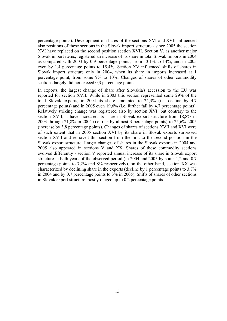percentage points). Development of shares of the sections XVI and XVII influenced also positions of these sections in the Slovak import structure - since 2005 the section XVI have replaced on the second position section XVII. Section V, as another major Slovak import items, registered an increase of its share in total Slovak imports in 2004 as compared with 2003 by 0,9 percentage points, from 13,1% to 14%, and in 2005 even by 1,4 percentage points to 15,4%. Section XV influenced shifts of shares in Slovak import structure only in 2004, when its share in imports increased at 1 percentage point, from some 9% to 10%. Changes of shares of other commodity sections largely did not exceed 0,3 percentage points.

In exports, the largest change of share after Slovakia's accession to the EU was reported for section XVII. While in 2003 this section represented some 29% of the total Slovak exports, in 2004 its share amounted to 24,3% (i.e. decline by 4,7 percentage points) and in 2005 even 19,6% (i.e. further fall by 4,7 percentage points). Relatively striking change was registered also by section XVI, but contrary to the section XVII, it have increased its share in Slovak export structure from 18,8% in 2003 through 21,8% in 2004 (i.e. rise by almost 3 percentage points) to 25,6% 2005 (increase by 3,8 percentage points). Changes of shares of sections XVII and XVI were of such extent that in 2005 section XVI by its share in Slovak exports surpassed section XVII and removed this section from the first to the second position in the Slovak export structure. Larger changes of shares in the Slovak exports in 2004 and 2005 also appeared in sections V and XX. Shares of these commodity sections evolved differently - section V reported annual increase of its share in Slovak export structure in both years of the observed period (in 2004 and 2005 by some 1,2 and 0,7 percentage points to 7,2% and 8% respectively), on the other hand, section XX was characterized by declining share in the exports (decline by 1 percentage points to 3,7% in 2004 and by 0,7 percentage points to 3% in 2005). Shifts of shares of other sections in Slovak export structure mostly ranged up to 0,2 percentage points.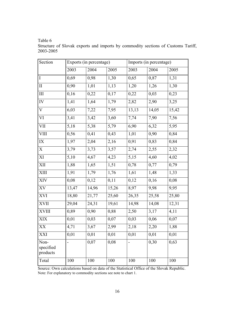Table 6

| Section                       |       | Exports (in percentage) |       |                          | Imports (in percentage) |                    |  |
|-------------------------------|-------|-------------------------|-------|--------------------------|-------------------------|--------------------|--|
|                               | 2003  | 2004                    | 2005  | 2003                     | 2004                    | 2005               |  |
| $\mathbf I$                   | 0,69  | 0,98                    | 1,30  | 0,65                     | 0,87                    | 1,31               |  |
| $\prod$                       | 0,90  | 1,01                    | 1,13  | 1,20                     | 1,26                    | 1,30               |  |
| III                           | 0,16  | 0,22                    | 0,17  | 0,22                     | 0,03                    | 0,23               |  |
| IV                            | 1,41  | 1,64                    | 1,79  | 2,82                     | 2,90                    | 3,25               |  |
| $\mathbf V$                   | 6,03  | 7,22                    | 7,95  | 13,13                    | 14,05                   | $\overline{15,42}$ |  |
| VI                            | 3,41  | 3,42                    | 3,60  | 7,74                     | 7,90                    | 7,56               |  |
| VII                           | 5,18  | 5,38                    | 5,79  | 6,90                     | 6,32                    | 5,95               |  |
| <b>VIII</b>                   | 0,56  | 0,41                    | 0,43  | 1,01                     | 0,90                    | 0,84               |  |
| IX                            | 1,97  | 2,04                    | 2,16  | 0,91                     | 0,83                    | 0,84               |  |
| X                             | 3,79  | 3,73                    | 3,57  | 2,74                     | 2,55                    | 2,32               |  |
| XI                            | 5,10  | 4,67                    | 4,23  | 5,15                     | 4,60                    | 4,02               |  |
| XII                           | 1,88  | 1,65                    | 1,51  | 0,78                     | 0,77                    | 0,79               |  |
| XIII                          | 1,91  | 1,79                    | 1,76  | 1,61                     | 1,48                    | 1,33               |  |
| XIV                           | 0,08  | 0,12                    | 0,11  | 0,12                     | 0,16                    | 0,08               |  |
| XV                            | 13,47 | 14,96                   | 15,26 | 8,97                     | 9,98                    | 9,95               |  |
| <b>XVI</b>                    | 18,80 | 21,77                   | 25,60 | 26,35                    | 25,58                   | 25,80              |  |
| <b>XVII</b>                   | 29,04 | 24,31                   | 19,61 | 14,98                    | 14,08                   | 12,31              |  |
| <b>XVIII</b>                  | 0,89  | 0,90                    | 0,88  | 2,50                     | 3,17                    | 4,11               |  |
| <b>XIX</b>                    | 0,01  | 0,03                    | 0,07  | 0,03                     | 0,06                    | 0,07               |  |
| XX                            | 4,71  | 3,67                    | 2,99  | 2,18                     | 2,20                    | 1,88               |  |
| XXI                           | 0,01  | 0,01                    | 0,01  | 0,01                     | 0,01                    | 0,01               |  |
| Non-<br>specified<br>products |       | 0,07                    | 0,08  | $\overline{\phantom{0}}$ | 0,30                    | 0,63               |  |
| Total                         | 100   | 100                     | 100   | 100                      | 100                     | 100                |  |

Structure of Slovak exports and imports by commodity sections of Customs Tariff, 2003-2005

Source: Own calculations based on data of the Statistical Office of the Slovak Republic. Note: For explanatory to commodity sections see note to chart 1.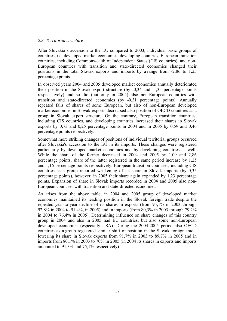# *2.3. Territorial structure*

After Slovakia's accession to the EU compared to 2003, individual basic groups of countries, i.e. developed market economies, developing countries, European transition countries, including Commonwealth of Independent States (CIS countries), and non-European countries with transition and state-directed economies changed their positions in the total Slovak exports and imports by a range from -2,86 to 1,25 percentage points.

In observed years 2004 and 2005 developed market economies annually deteriorated their position in the Slovak export structure (by -0,34 and -1,35 percentage points respect-tively) and so did (but only in 2004) also non-European countries with transition and state-directed economies (by -0,31 percentage points). Annually repeated falls of shares of some European, but also of non-European developed market economies in Slovak exports decrea-sed also position of OECD countries as a group in Slovak export structure. On the contrary, European transition countries, including CIS countries, and developing countries increased their shares in Slovak exports by 0,73 and 0,25 percentage points in 2004 and in 2005 by 0,59 and 0,46 percentage points respectively.

Somewhat more striking changes of positions of individual territorial groups occurred after Slovakia's accession to the EU in its imports. These changes were registered particularly by developed market economies and by developing countries as well. While the share of the former decreased in 2004 and 2005 by 1,09 and 2,86 percentage points, share of the latter registered in the same period increase by 1,25 and 1,16 percentage points respectively. European transition countries, including CIS countries as a group reported weakening of its share in Slovak imports (by 0,35 percentage points), however, in 2005 their share again expanded by 1,23 percentage points. Expansion of share in Slovak imports recorded in 2004 and 2005 also non-European countries with transition and state-directed economies.

As arises from the above table, in 2004 and 2005 group of developed market economies maintained its leading position in the Slovak foreign trade despite the repeated year-to-year decline of its shares in exports (from 93,1% in 2003 through 92,8% in 2004 to 91,4%, in 2005) and in imports (from 80,3% in 2003 through 79,2% in 2004 to 76,4% in 2005). Determining influence on share changes of this country group in 2004 and also in 2005 had EU countries, but also some non-European developed economies (especially USA). During the 2004-2005 period also OECD countries as a group registered similar shift of position in the Slovak foreign trade, lowering its share in Slovak exports from 91,7% in 2003 to 89,7% in 2005 and in imports from 80,1% in 2003 to 70% in 2005 (in 2004 its shares in exports and imports amounted to 91,3% and 75,1% respectively).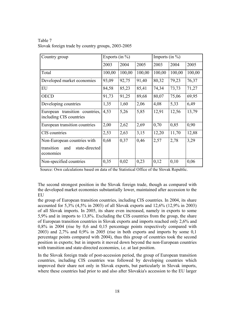| Country group                                             |        | Exports (in $\%$ ) |        |        | Imports (in $\%$ ) |        |  |
|-----------------------------------------------------------|--------|--------------------|--------|--------|--------------------|--------|--|
|                                                           | 2003   | 2004               | 2005   | 2003   | 2004               | 2005   |  |
| Total                                                     | 100,00 | 100,00             | 100,00 | 100,00 | 100,00             | 100,00 |  |
| Developed market economies                                | 93,09  | 92,75              | 91,40  | 80,32  | 79,23              | 76,37  |  |
| <b>EU</b>                                                 | 84,58  | 85,23              | 85,41  | 74,34  | 73,73              | 71,27  |  |
| <b>OECD</b>                                               | 91,73  | 91,25              | 89,68  | 80,07  | 75,06              | 69,95  |  |
| Developing countries                                      | 1,35   | 1,60               | 2,06   | 4,08   | 5,33               | 6,49   |  |
| European transition countries,<br>including CIS countries | 4,53   | 5,26               | 5,85   | 12,91  | 12,56              | 13,79  |  |
| European transition countries                             | 2,00   | 2,62               | 2,69   | 0,70   | 0,85               | 0,90   |  |
| CIS countries                                             | 2,53   | 2,63               | 3,15   | 12,20  | 11,70              | 12,88  |  |
| Non-European countries with                               | 0,68   | 0,37               | 0,46   | 2,57   | 2,78               | 3,29   |  |
| transition<br>state-directed<br>and<br>economies          |        |                    |        |        |                    |        |  |
| Non-specified countries                                   | 0,35   | 0,02               | 0,23   | 0,12   | 0,10               | 0,06   |  |

Table 7 Slovak foreign trade by country groups, 2003-2005

Source: Own calculations based on data of the Statistical Office of the Slovak Republic.

The second strongest position in the Slovak foreign trade, though as compared with the developed market economies substantially lower, maintained after accession to the **EU** 

the group of European transition countries, including CIS countries. In 2004, its share accounted for 5,3% (4,5% in 2003) of all Slovak exports and 12,6% (12,9% in 2003) of all Slovak imports. In 2005, its share even increased, namely in exports to some 5,9% and in imports to 13,8%. Excluding the CIS countries from the group, the share of European transition countries in Slovak exports and imports reached only 2,6% and 0,8% in 2004 (rise by 0,6 and 0,15 percentage points respectively compared with 2003) and 2,7% and 0,9% in 2005 (rise in both exports and imports by some 0,1 percentage points compared with 2004), thus this group of countries took the second position in exports; but in imports it moved down beyond the non-European countries with transition and state-directed economies, *i.e.* at last position.

In the Slovak foreign trade of post-accession period, the group of European transition countries, including CIS countries was followed by developing countries which improved their share not only in Slovak exports, but particularly in Slovak imports, where these countries had prior to and also after Slovakia's accession to the EU larger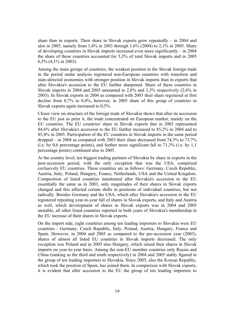share than in exports. Their share in Slovak exports grew repeatedly  $-$  in 2004 and also in 2005, namely from 1,4% in 2003 through 1,6% (2004) to 2,1% in 2005. Share of developing countries in Slovak imports increased even more significantly – in 2004 the share of these countries accounted for 5,3% of total Slovak imports and in 2005 6,5% (4,1% in 2003).

Among the main groups of countries, the weakest position in the Slovak foreign trade in the period under analysis registered non-European countries with transition and state-directed economies with stronger position in Slovak imports than in exports that after Slovakia's accession to the EU further sharpened. Share of these countries in Slovak imports in 2004 and 2005 amounted to 2,8% and 3,3% respectively (2,6% in 2003). In Slovak exports in 2004 as compared with 2003 their share registered at first decline from 0,7% to 0,4%, however, in 2005 share of this group of countries in Slovak exports again increased to 0,5%.

Closer view on structure of the foreign trade of Slovakia shows that after its accession to the EU just as prior it, the trade concentrated on European market, mainly on the EU countries. The EU countries' share in Slovak exports that in 2003 represented 84,6% after Slovakia's accession to the EU further increased to 85,2% in 2004 and to 85,4% in 2005. Participation of the EU countries in Slovak imports in the same period dropped – in 2004 as compared with 2003 their share decreased from 74,3% to 73,7% (i.e. by 0,6 percentage points), and further more significant fall to 71,3% (i.e. by 1,1 percentage points) continued also in 2005.

At the country level, ten biggest trading partners of Slovakia by share in exports in the post-accession period, with the only exception that was the USA, comprised exclusively EU countries. These countries are as follows: Germany, Czech Republic, Austria, Italy, Poland, Hungary, France, Netherlands, USA and the United Kingdom. Composition of listed countries maintained after Slovakia's accession to the EU essentially the same as in 2003, only magnitudes of their shares in Slovak exports changed and this affected certain shifts in positions of individual countries, but not radically. Besides Germany and the USA, which after Slovakia's accession to the EU registered repeating year-to-year fall of shares in Slovak exports, and Italy and Austria as well, which development of shares in Slovak exports was in 2004 and 2005 unstable, all other listed countries reported in both years of Slovakia's membership in the EU increase of their shares in Slovak exports.

On the import side, eight countries among ten leading importers to Slovakia were EU countries - Germany, Czech Republic, Italy, Poland, Austria, Hungary, France and Spain. However, in 2004 and 2005 as compared to the pre-accession year (2003), shares of almost all listed EU countries in Slovak imports decreased. The only exception was Poland and in 2005 also Hungary, which raised their shares in Slovak imports on year-to-year basis. Among the non-EU member countries only Russia and China (ranking as the third and ninth respectively) in 2004 and 2005 stably figured in the group of ten leading importers to Slovakia. Since 2005, also the Korean Republic, which took the position of Spain, has joined them. In comparison with Slovak exports, it is evident that after accession to the EU the group of ten leading importers to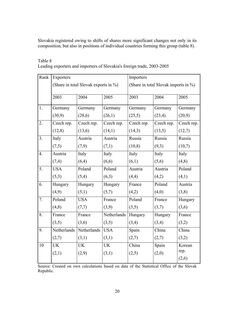Slovakia registered owing to shifts of shares more significant changes not only in its composition, but also in positions of individual countries forming this group (table 8).

| Table 8                                                                |  |
|------------------------------------------------------------------------|--|
| Leading exporters and importers of Slovakia's foreign trade, 2003-2005 |  |

| Rank             | Exporters                            |             |             | Importers                            |            |            |  |
|------------------|--------------------------------------|-------------|-------------|--------------------------------------|------------|------------|--|
|                  | (Share in total Slovak exports in %) |             |             | (Share in total Slovak imports in %) |            |            |  |
|                  | 2003                                 | 2004        | 2005        | 2003                                 | 2004       | 2005       |  |
| 1.               | Germany                              | Germany     | Germany     | Germany                              | Germany    | Germany    |  |
|                  | (30,9)                               | (28,6)      | (26,1)      | (25,5)                               | (23,4)     | (20,9)     |  |
| $\overline{2}$ . | Czech rep.                           | Czech rep.  | Czech rep.  | Czech rep.                           | Czech rep. | Czech rep. |  |
|                  | (12, 8)                              | (13,6)      | (14,1)      | (14,3)                               | (13,5)     | (12,7)     |  |
| 3.               | Italy                                | Austria     | Austria     | Russia                               | Russia     | Russia     |  |
|                  | (7,5)                                | (7,9)       | (7,1)       | (10, 8)                              | (9,3)      | (10,7)     |  |
| 4.               | Austria                              | Italy       | Italy       | Italy                                | Italy      | Italy      |  |
|                  | (7,4)                                | (6,4)       | (6,6)       | (6,1)                                | (5,6)      | (4, 8)     |  |
| 5.               | <b>USA</b>                           | Poland      | Poland      | Austria                              | Austria    | Poland     |  |
|                  | (5,3)                                | (5,4)       | (6,3)       | (4,4)                                | (4,2)      | (4,1)      |  |
| 6.               | Hungary                              | Hungary     | Hungary     | France                               | Poland     | Austria    |  |
|                  | (4,9)                                | (5,1)       | (5,7)       | (4,2)                                | (4,0)      | (3,8)      |  |
| $\overline{7}$ . | Poland                               | <b>USA</b>  | France      | Poland                               | France     | Hungary    |  |
|                  | (4,8)                                | (7,7)       | (3,9)       | (3,5)                                | (3,7)      | (3,6)      |  |
| 8.               | France                               | France      | Netherlands | Hungary                              | Hungary    | France     |  |
|                  | (3,5)                                | (3,6)       | (3,5)       | (3,4)                                | (3,4)      | (3,2)      |  |
| $\overline{9}$ . | Netherlands                          | Netherlands | <b>USA</b>  | Spain                                | China      | China      |  |
|                  | (2,7)                                | (3,1)       | (3,1)       | (2,7)                                | (2,7)      | (3,2)      |  |
| 10               | <b>UK</b>                            | <b>UK</b>   | <b>UK</b>   | China                                | Spain      | Korean     |  |
|                  | (2,1)                                | (2,9)       | (3,1)       | (2,5)                                | (2,0)      | rep.       |  |
|                  |                                      |             |             |                                      |            | (2,6)      |  |

Source: Created on own calculations based on data of the Statistical Office of the Slovak Republic.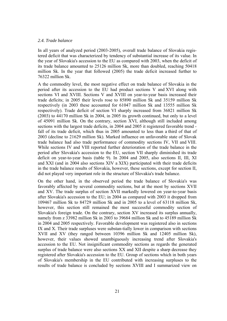# *2.4. Trade balance*

In all years of analyzed period (2003-2005), overall trade balance of Slovakia registered deficit that was characterized by tendency of substantial increase of its value. In the year of Slovakia's accession to the EU as compared with 2003, when the deficit of its trade balance amounted to 25126 million Sk, more than doubled, reaching 50418 million Sk. In the year that followed (2005) the trade deficit increased further to 76322 million Sk.

A the commodity level, the most negative effect on trade balance of Slovakia in the period after its accession to the EU had product sections V and XVI along with sections VI and XVIII. Sections V and XVIII on year-to-year basis increased their trade deficits; in 2005 their levels rose to 85890 million Sk and 35159 million Sk respectively (in 2003 these accounted for 61047 million Sk and 13555 million Sk respectively). Trade deficit of section VI sharply increased from 36821 million Sk (2003) to 44170 million Sk in 2004, in 2005 its growth continued, but only to a level of 45091 million Sk. On the contrary, section XVI, although still included among sections with the largest trade deficits, in 2004 and 2005 it registered favorable trend fall of its trade deficit, which thus in 2005 amounted to less than a third of that of 2003 (decline to 21629 million Sk). Marked influence on unfavorable state of Slovak trade balance had also trade performance of commodity sections IV, VII and VIII. While sections IV and VIII reported further deterioration of the trade balance in the period after Slovakia's accession to the EU, section VII sharply diminished its trade deficit on year-to-year basis (table 9). In 2004 and 2005, also sections II, III, XI and XXI (and in 2004 also sections XIV a XIX) participated with their trade deficits in the trade balance results of Slovakia, however, these sections, except for section II, did not played very important role in the structure of Slovakia's trade balance.

On the other hand, in the observed period the trade balance of Slovakia's was favorably affected by several commodity sections, but at the most by sections XVII and XV. The trade surplus of section XVII markedly lowered on year-to-year basis after Slovakia's accession to the EU; in 2004 as compared with 2003 it dropped from 109467 million Sk to 84729 million Sk and in 2005 to a level of 63118 million Sk, however, this section still remained the most successful commodity section of Slovakia's foreign trade. On the contrary, section XV increased its surplus annually, namely from z 33982 million Sk in 2003 to 39684 million Sk and to 45189 million Sk in 2004 and 2005 respectively. Favorable development was registered also in sections IX and X. Their trade surpluses were substan-tially lower in comparison with sections XVII and XV (they ranged between 10396 million Sk and 12405 million Sk), however, their values showed unambiguously increasing trend after Slovakia's accession to the EU. Not insignificant commodity sections as regards the generated surplus of trade balance were also sections XX and XII despite a sharp decrease they registered after Slovakia's accession to the EU. Group of sections which in both years of Slovakia's membership in the EU contributed with increasing surpluses to the results of trade balance is concluded by sections XVIII and I summarized view on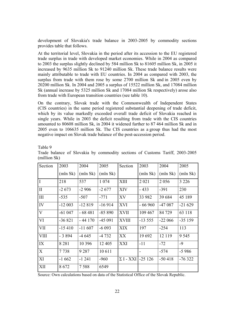development of Slovakia's trade balance in 2003-2005 by commodity sections provides table that follows.

At the territorial level, Slovakia in the period after its accession to the EU registered trade surplus in trade with developed market economies. While in 2004 as compared to 2003 the surplus slightly declined by 584 million Sk to 81605 million Sk, in 2005 it increased by 9635 million Sk to 91240 million Sk. These trade balance results were mainly attributable to trade with EU countries. In 2004 as compared with 2003, the surplus from trade with them rose by some 2700 million Sk and in 2005 even by 20200 million Sk. In 2004 and 2005 a surplus of 15522 million Sk, and 17084 million Sk (annual increase by 5325 million Sk and 17084 million Sk respectively) arose also from trade with European transition countries (see table 10).

On the contrary, Slovak trade with the Commonwealth of Independent States (CIS countries) in the same period registered substantial deepening of trade deficit, which by its value markedly exceeded overall trade deficit of Slovakia reached in single years. While in 2003 the deficit resulting from trade with the CIS countries amounted to 80608 million Sk, in 2004 it widened further to 87 464 million Sk and in 2005 even to 106635 million Sk. The CIS countries as a group thus had the most negative impact on Slovak trade balance of the post-accession period.

Table 9

| Section        | 2003     | 2004     | 2005     | Section          | 2003     | 2004     | 2005     |
|----------------|----------|----------|----------|------------------|----------|----------|----------|
|                | (mln Sk) | (mln Sk) | (mln Sk) |                  | (mln Sk) | (mln Sk) | (mln Sk) |
| $\overline{I}$ | 218      | 537      | 1 0 7 4  | XIII             | 2 0 2 1  | 2 0 5 6  | 3 2 2 6  |
| $\mathbf{I}$   | $-2673$  | $-2906$  | $-2677$  | <b>XIV</b>       | $-433$   | $-391$   | 230      |
| $\rm III$      | $-535$   | $-507$   | $-771$   | XV               | 33 982   | 39 684   | 45 189   |
| IV             | $-12003$ | $-12819$ | $-16914$ | <b>XVI</b>       | $-66960$ | $-47087$ | $-21629$ |
| $\mathbf V$    | $-61047$ | $-68481$ | $-85890$ | <b>XVII</b>      | 109 467  | 84 729   | 63 118   |
| VI             | $-36821$ | $-44170$ | $-45091$ | <b>XVIII</b>     | $-13555$ | $-22066$ | $-35159$ |
| VII            | $-15410$ | $-11607$ | $-6093$  | <b>XIX</b>       | 197      | $-254$   | 113      |
| <b>VIII</b>    | $-3894$  | -4 645   | -4 732   | XX               | 19692    | 12 119   | 9 5 4 5  |
| IX             | 8 2 8 1  | 10 396   | 12 4 05  | <b>XXI</b>       | $-11$    | $-72$    | $-9$     |
| X              | 7738     | 9 2 8 7  | 10 611   |                  |          | $-574$   | $-5986$  |
| XI             | $-1662$  | $-1241$  | $-960$   | $\Sigma$ I - XXI | $-25126$ | $-50418$ | $-76322$ |
| XII            | 8672     | 7588     | 6549     |                  |          |          |          |

Trade balance of Slovakia by commodity sections of Customs Tariff, 2003-2005 (million Sk)

Source: Own calculations based on data of the Statistical Office of the Slovak Republic.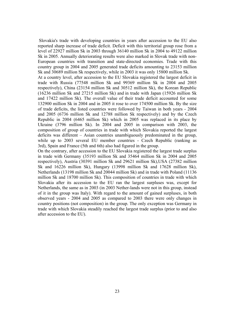Slovakia's trade with developing countries in years after accession to the EU also reported sharp increase of trade deficit. Deficit with this territorial group rose from a level of 22927 million Sk in 2003 through 36140 million Sk in 2004 to 49122 million Sk in 2005. Annually deteriorating results were also marked in Slovak trade with non-European countries with transition and state-directed economies. Trade with this country group in 2004 and 2005 generated trade deficits amounting to 23153 million Sk and 30689 million Sk respectively, while in 2003 it was only 15800 million Sk.

At a country level, after accession to the EU Slovakia registered the largest deficit in trade with Russia (77548 million Sk and 99369 million Sk in 2004 and 2005 respectively), China (23154 million Sk and 30512 million Sk), the Korean Republic (16236 million Sk and 27215 million Sk) and in trade with Japan (15926 million Sk and 17422 million Sk). The overall value of their trade deficit accounted for some 132900 million Sk in 2004 and in 2005 it rose to over 174500 million Sk. By the size of trade deficits, the listed countries were followed by Taiwan in both years - 2004 and 2005 (6736 million Sk and 12788 million Sk respectively) and by the Czech Republic in 2004 (6465 million Sk) which in 2005 was replaced in its place by Ukraine (3796 million Sk). In 2004 and 2005 in comparison with 2003, the composition of group of countries in trade with which Slovakia reported the largest deficits was different – Asian countries unambiguously predominated in the group, while up to 2003 several EU member countries - Czech Republic (ranking as 3rd), Spain and France (5th and 6th) also had figured in the group.

On the contrary, after accession to the EU Slovakia registered the largest trade surplus in trade with Germany (35193 million Sk and 35464 million Sk in 2004 and 2005 respectively), Austria (30391 million Sk and 29621 million Sk),USA (27382 million Sk and 16226 million Sk), Hungary (13998 million Sk and 17628 million Sk), Netherlands (13198 million Sk and 20044 million Sk) and in trade with Poland (11136 million Sk and 18700 million Sk). This composition of countries in trade with which Slovakia after its accession to the EU ran the largest surpluses was, except for Netherlands, the same as in 2003 (in 2003 Nether-lands were not in this group, instead of it in the group was Italy). With regard to the amount of gained surpluses, in both observed years - 2004 and 2005 as compared to 2003 there were only changes in country positions (not composition) in the group. The only exception was Germany in trade with which Slovakia steadily reached the largest trade surplus (prior to and also after accession to the EU).